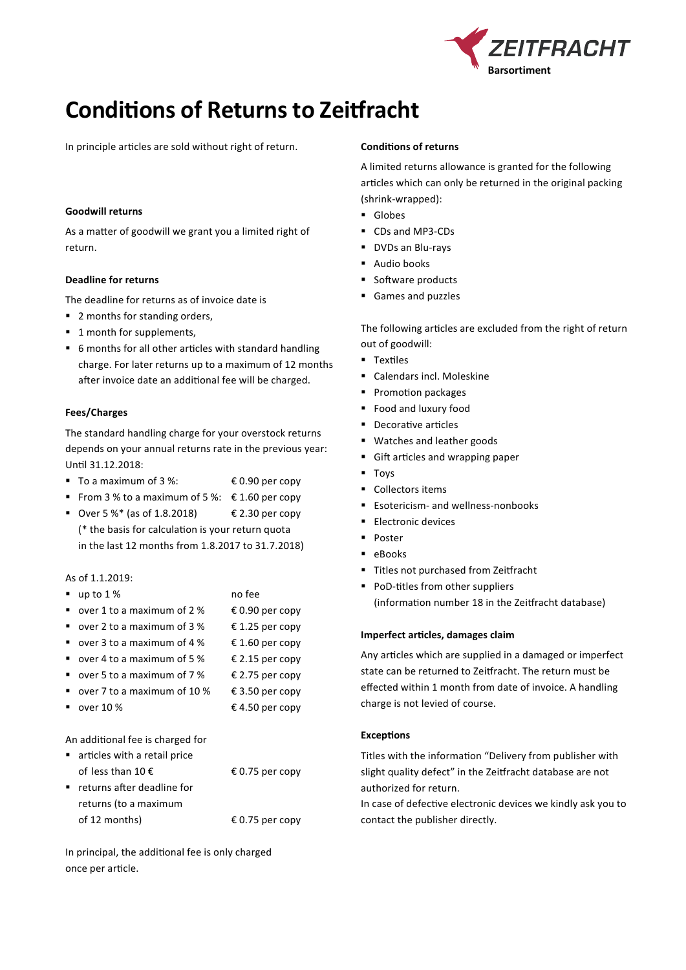

# **Conditions of Returns to Zeitfracht**

In principle articles are sold without right of return.

# **Goodwill returns**

As a matter of goodwill we grant you a limited right of return.

# **Deadline for returns**

The deadline for returns as of invoice date is

- 2 months for standing orders,
- 1 month for supplements,
- 6 months for all other articles with standard handling charge. For later returns up to a maximum of 12 months after invoice date an additional fee will be charged.

# **Fees/Charges**

The standard handling charge for your overstock returns depends on your annual returns rate in the previous year: Until 31.12.2018:

- To a maximum of  $3\%$ :  $\qquad \qquad \in 0.90$  per copy
- From 3 % to a maximum of 5 %:  $\epsilon$  1.60 per copy
- Over 5 %\* (as of 1.8.2018)  $\epsilon$  2.30 per copy (\* the basis for calculation is your return quota in the last 12 months from 1.8.2017 to 31.7.2018)

### As of 1.1.2019:

| up to $1%$                   | no fee          |
|------------------------------|-----------------|
| over 1 to a maximum of 2 %   | € 0.90 per copy |
| over 2 to a maximum of 3 %   | € 1.25 per copy |
| over 3 to a maximum of 4 $%$ | € 1.60 per copy |
| over 4 to a maximum of 5 $%$ | € 2.15 per copy |
| over 5 to a maximum of 7 %   | € 2.75 per copy |
| over 7 to a maximum of 10 %  | € 3.50 per copy |
| over 10 %                    | € 4.50 per copy |
|                              |                 |

An additional fee is charged for

| articles with a retail price              |                 |
|-------------------------------------------|-----------------|
| of less than 10 $\epsilon$                | € 0.75 per copy |
| $\blacksquare$ returns after deadline for |                 |
| returns (to a maximum                     |                 |
| of 12 months)                             | € 0.75 per copy |
|                                           |                 |

In principal, the additional fee is only charged once per article.

## **Conditions of returns**

A limited returns allowance is granted for the following articles which can only be returned in the original packing (shrink-wrapped):

- Globes
- CDs and MP3-CDs
- DVDs an Blu-rays
- Audio books
- Software products
- Games and puzzles

The following articles are excluded from the right of return out of goodwill:

- **Textiles**
- Calendars incl. Moleskine
- **Promotion packages**
- Food and luxury food
- **Decorative articles**
- Watches and leather goods
- Gift articles and wrapping paper
- **Toys**
- Collectors items
- **Esotericism- and wellness-nonbooks**
- **Electronic devices**
- **Poster**
- **-** eBooks
- Titles not purchased from Zeitfracht
- **PoD-titles from other suppliers** (information number 18 in the Zeitfracht database)

# **Imperfect articles, damages claim**

Any articles which are supplied in a damaged or imperfect state can be returned to Zeitfracht. The return must be effected within 1 month from date of invoice. A handling charge is not levied of course.

### **Exceptions**

Titles with the information "Delivery from publisher with slight quality defect" in the Zeitfracht database are not authorized for return.

In case of defective electronic devices we kindly ask you to contact the publisher directly.